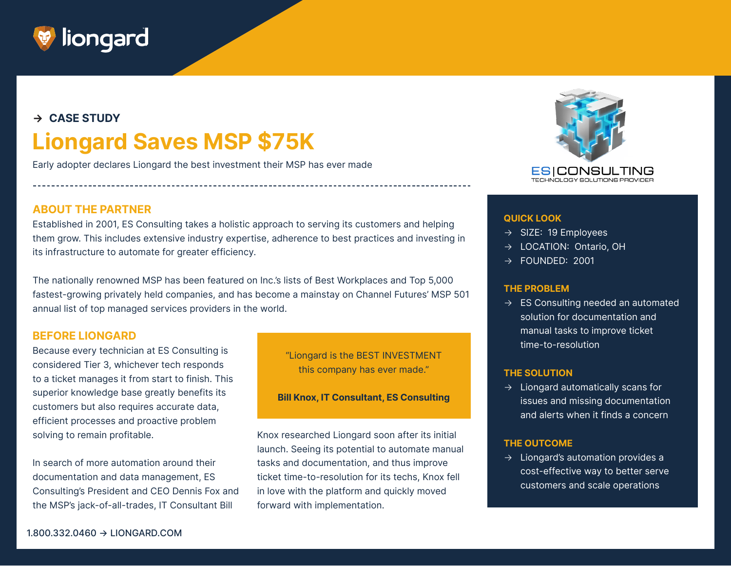

# **→ CASE STUDY Liongard Saves MSP \$75K**

Early adopter declares Liongard the best investment their MSP has ever made



Established in 2001, ES Consulting takes a holistic approach to serving its customers and helping them grow. This includes extensive industry expertise, adherence to best practices and investing in its infrastructure to automate for greater efficiency.

The nationally renowned MSP has been featured on Inc.'s lists of Best Workplaces and Top 5,000 fastest-growing privately held companies, and has become a mainstay on Channel Futures' MSP 501 annual list of top managed services providers in the world.

### **BEFORE LIONGARD**

Because every technician at ES Consulting is considered Tier 3, whichever tech responds to a ticket manages it from start to finish. This superior knowledge base greatly benefits its customers but also requires accurate data, efficient processes and proactive problem solving to remain profitable.

In search of more automation around their documentation and data management, ES Consulting's President and CEO Dennis Fox and the MSP's jack-of-all-trades, IT Consultant Bill

"Liongard is the BEST INVESTMENT this company has ever made."

**Bill Knox, IT Consultant, ES Consulting**

Knox researched Liongard soon after its initial launch. Seeing its potential to automate manual tasks and documentation, and thus improve ticket time-to-resolution for its techs, Knox fell in love with the platform and quickly moved forward with implementation.



#### **QUICK LOOK**

- $\rightarrow$  SIZE: 19 Employees
- → LOCATION: Ontario, OH
- $\rightarrow$  FOUNDED: 2001

#### **THE PROBLEM**

 $\rightarrow$  ES Consulting needed an automated solution for documentation and manual tasks to improve ticket time-to-resolution

#### **THE SOLUTION**

 $\rightarrow$  Liongard automatically scans for issues and missing documentation and alerts when it finds a concern

#### **THE OUTCOME**

 $\rightarrow$  Liongard's automation provides a cost-effective way to better serve customers and scale operations